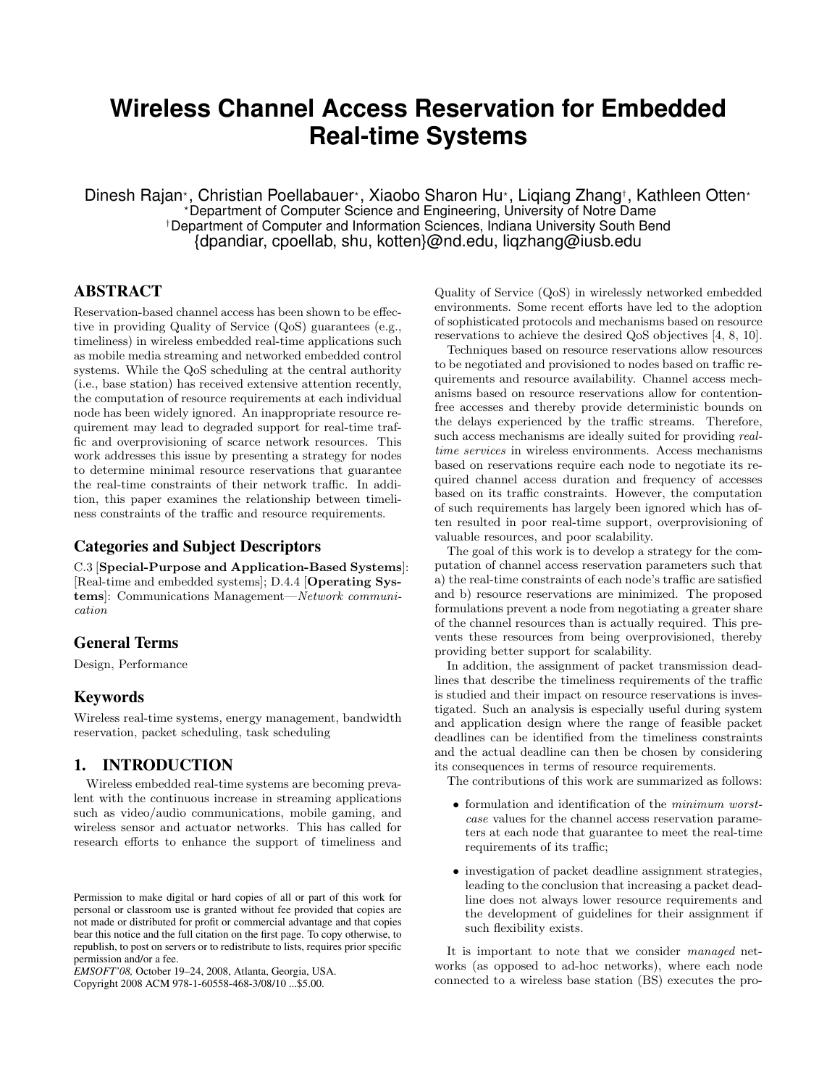# **Wireless Channel Access Reservation for Embedded Real-time Systems**

Dinesh Rajan\*, Christian Poellabauer\*, Xiaobo Sharon Hu\*, Liqiang Zhang†, Kathleen Otten\* Department of Computer Science and Engineering, University of Notre Dame †Department of Computer and Information Sciences, Indiana University South Bend {dpandiar, cpoellab, shu, kotten}@nd.edu, liqzhang@iusb.edu

# ABSTRACT

Reservation-based channel access has been shown to be effective in providing Quality of Service (QoS) guarantees (e.g., timeliness) in wireless embedded real-time applications such as mobile media streaming and networked embedded control systems. While the QoS scheduling at the central authority (i.e., base station) has received extensive attention recently, the computation of resource requirements at each individual node has been widely ignored. An inappropriate resource requirement may lead to degraded support for real-time traffic and overprovisioning of scarce network resources. This work addresses this issue by presenting a strategy for nodes to determine minimal resource reservations that guarantee the real-time constraints of their network traffic. In addition, this paper examines the relationship between timeliness constraints of the traffic and resource requirements.

## Categories and Subject Descriptors

C.3 [Special-Purpose and Application-Based Systems]: [Real-time and embedded systems]; D.4.4 [Operating Systems]: Communications Management—Network communication

# General Terms

Design, Performance

# Keywords

Wireless real-time systems, energy management, bandwidth reservation, packet scheduling, task scheduling

# 1. INTRODUCTION

Wireless embedded real-time systems are becoming prevalent with the continuous increase in streaming applications such as video/audio communications, mobile gaming, and wireless sensor and actuator networks. This has called for research efforts to enhance the support of timeliness and

Copyright 2008 ACM 978-1-60558-468-3/08/10 ...\$5.00.

Quality of Service (QoS) in wirelessly networked embedded environments. Some recent efforts have led to the adoption of sophisticated protocols and mechanisms based on resource reservations to achieve the desired QoS objectives [4, 8, 10].

Techniques based on resource reservations allow resources to be negotiated and provisioned to nodes based on traffic requirements and resource availability. Channel access mechanisms based on resource reservations allow for contentionfree accesses and thereby provide deterministic bounds on the delays experienced by the traffic streams. Therefore, such access mechanisms are ideally suited for providing realtime services in wireless environments. Access mechanisms based on reservations require each node to negotiate its required channel access duration and frequency of accesses based on its traffic constraints. However, the computation of such requirements has largely been ignored which has often resulted in poor real-time support, overprovisioning of valuable resources, and poor scalability.

The goal of this work is to develop a strategy for the computation of channel access reservation parameters such that a) the real-time constraints of each node's traffic are satisfied and b) resource reservations are minimized. The proposed formulations prevent a node from negotiating a greater share of the channel resources than is actually required. This prevents these resources from being overprovisioned, thereby providing better support for scalability.

In addition, the assignment of packet transmission deadlines that describe the timeliness requirements of the traffic is studied and their impact on resource reservations is investigated. Such an analysis is especially useful during system and application design where the range of feasible packet deadlines can be identified from the timeliness constraints and the actual deadline can then be chosen by considering its consequences in terms of resource requirements.

The contributions of this work are summarized as follows:

- formulation and identification of the minimum worstcase values for the channel access reservation parameters at each node that guarantee to meet the real-time requirements of its traffic;
- investigation of packet deadline assignment strategies, leading to the conclusion that increasing a packet deadline does not always lower resource requirements and the development of guidelines for their assignment if such flexibility exists.

It is important to note that we consider managed networks (as opposed to ad-hoc networks), where each node connected to a wireless base station (BS) executes the pro-

Permission to make digital or hard copies of all or part of this work for personal or classroom use is granted without fee provided that copies are not made or distributed for profit or commercial advantage and that copies bear this notice and the full citation on the first page. To copy otherwise, to republish, to post on servers or to redistribute to lists, requires prior specific permission and/or a fee.

*EMSOFT'08,* October 19–24, 2008, Atlanta, Georgia, USA.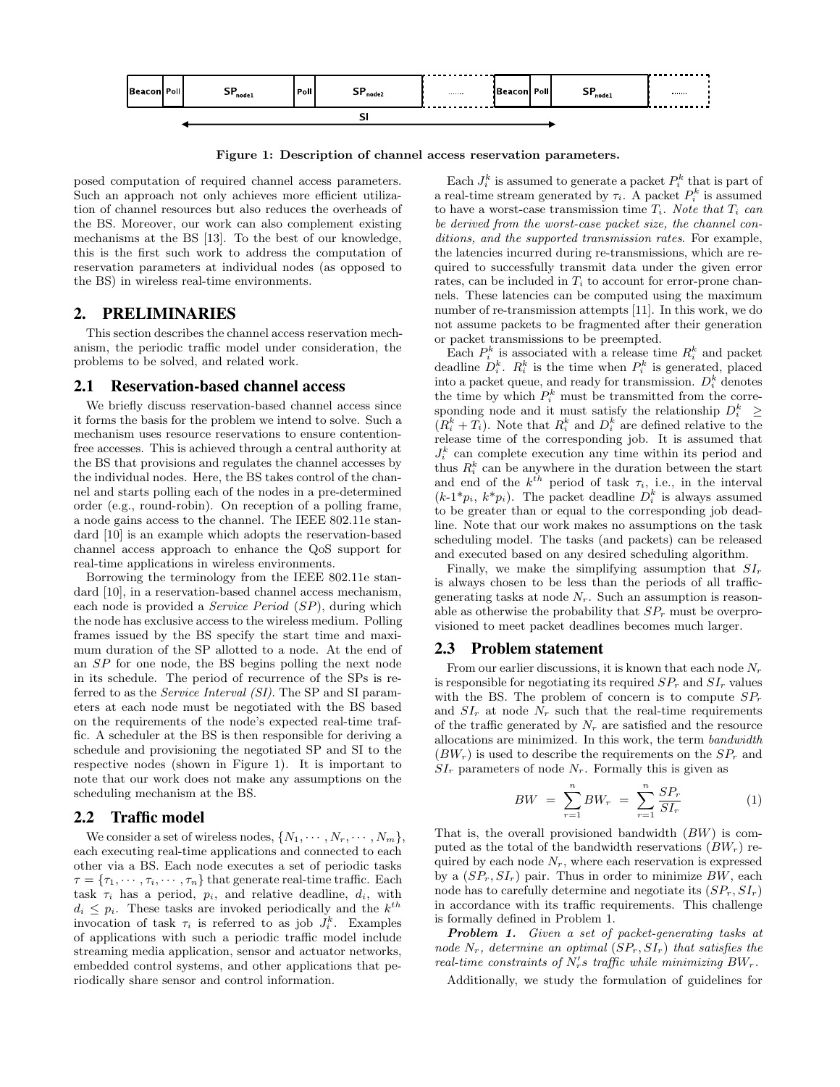

Figure 1: Description of channel access reservation parameters.

posed computation of required channel access parameters. Such an approach not only achieves more efficient utilization of channel resources but also reduces the overheads of the BS. Moreover, our work can also complement existing mechanisms at the BS [13]. To the best of our knowledge, this is the first such work to address the computation of reservation parameters at individual nodes (as opposed to the BS) in wireless real-time environments.

## 2. PRELIMINARIES

This section describes the channel access reservation mechanism, the periodic traffic model under consideration, the problems to be solved, and related work.

#### 2.1 Reservation-based channel access

We briefly discuss reservation-based channel access since it forms the basis for the problem we intend to solve. Such a mechanism uses resource reservations to ensure contentionfree accesses. This is achieved through a central authority at the BS that provisions and regulates the channel accesses by the individual nodes. Here, the BS takes control of the channel and starts polling each of the nodes in a pre-determined order (e.g., round-robin). On reception of a polling frame, a node gains access to the channel. The IEEE 802.11e standard [10] is an example which adopts the reservation-based channel access approach to enhance the QoS support for real-time applications in wireless environments.

Borrowing the terminology from the IEEE 802.11e standard [10], in a reservation-based channel access mechanism, each node is provided a Service Period (SP), during which the node has exclusive access to the wireless medium. Polling frames issued by the BS specify the start time and maximum duration of the SP allotted to a node. At the end of an SP for one node, the BS begins polling the next node in its schedule. The period of recurrence of the SPs is referred to as the Service Interval (SI). The SP and SI parameters at each node must be negotiated with the BS based on the requirements of the node's expected real-time traffic. A scheduler at the BS is then responsible for deriving a schedule and provisioning the negotiated SP and SI to the respective nodes (shown in Figure 1). It is important to note that our work does not make any assumptions on the scheduling mechanism at the BS.

#### 2.2 Traffic model

We consider a set of wireless nodes,  $\{N_1, \cdots, N_r, \cdots, N_m\},\$ each executing real-time applications and connected to each other via a BS. Each node executes a set of periodic tasks  $\tau = {\tau_1, \dots, \tau_i, \dots, \tau_n}$  that generate real-time traffic. Each task  $\tau_i$  has a period,  $p_i$ , and relative deadline,  $d_i$ , with  $d_i \leq p_i$ . These tasks are invoked periodically and the  $k^{th}$ invocation of task  $\tau_i$  is referred to as job  $J_i^k$ . Examples of applications with such a periodic traffic model include streaming media application, sensor and actuator networks, embedded control systems, and other applications that periodically share sensor and control information.

Each  $J_i^k$  is assumed to generate a packet  $P_i^k$  that is part of a real-time stream generated by  $\tau_i$ . A packet  $P_i^k$  is assumed to have a worst-case transmission time  $T_i$ . Note that  $T_i$  can be derived from the worst-case packet size, the channel conditions, and the supported transmission rates. For example, the latencies incurred during re-transmissions, which are required to successfully transmit data under the given error rates, can be included in  $T_i$  to account for error-prone channels. These latencies can be computed using the maximum number of re-transmission attempts [11]. In this work, we do not assume packets to be fragmented after their generation or packet transmissions to be preempted.

Each  $P_i^k$  is associated with a release time  $R_i^k$  and packet deadline  $D_i^k$ .  $R_i^k$  is the time when  $P_i^k$  is generated, placed into a packet queue, and ready for transmission.  $D_i^k$  denotes the time by which  $P_i^k$  must be transmitted from the corresponding node and it must satisfy the relationship  $D_i^k$   $\geq$  $(R_i^k + T_i)$ . Note that  $R_i^k$  and  $D_i^k$  are defined relative to the release time of the corresponding job. It is assumed that  $J_i^k$  can complete execution any time within its period and thus  $R_i^k$  can be anywhere in the duration between the start and end of the  $k^{th}$  period of task  $\tau_i$ , i.e., in the interval  $(k-1^*p_i, k^*p_i)$ . The packet deadline  $D_i^k$  is always assumed to be greater than or equal to the corresponding job deadline. Note that our work makes no assumptions on the task scheduling model. The tasks (and packets) can be released and executed based on any desired scheduling algorithm.

Finally, we make the simplifying assumption that  $SI_r$ is always chosen to be less than the periods of all trafficgenerating tasks at node  $N_r$ . Such an assumption is reasonable as otherwise the probability that  $SP<sub>r</sub>$  must be overprovisioned to meet packet deadlines becomes much larger.

### 2.3 Problem statement

From our earlier discussions, it is known that each node  $N_r$ is responsible for negotiating its required  $SP<sub>r</sub>$  and  $SI<sub>r</sub>$  values with the BS. The problem of concern is to compute  $SP<sub>r</sub>$ and  $SI_r$  at node  $N_r$  such that the real-time requirements of the traffic generated by  $N_r$  are satisfied and the resource allocations are minimized. In this work, the term bandwidth  $(BW_r)$  is used to describe the requirements on the  $SP_r$  and  $SI_r$  parameters of node  $N_r$ . Formally this is given as

$$
BW = \sum_{r=1}^{n} BW_r = \sum_{r=1}^{n} \frac{SP_r}{SI_r}
$$
 (1)

That is, the overall provisioned bandwidth (BW) is computed as the total of the bandwidth reservations  $(BW_r)$  required by each node  $N_r$ , where each reservation is expressed by a  $(SP_r, SI_r)$  pair. Thus in order to minimize BW, each node has to carefully determine and negotiate its  $(SP_r, SI_r)$ in accordance with its traffic requirements. This challenge is formally defined in Problem 1.

Problem 1. Given a set of packet-generating tasks at node  $N_r$ , determine an optimal  $(SP_r, SI_r)$  that satisfies the real-time constraints of  $N'_r s$  traffic while minimizing  $BW_r$ .

Additionally, we study the formulation of guidelines for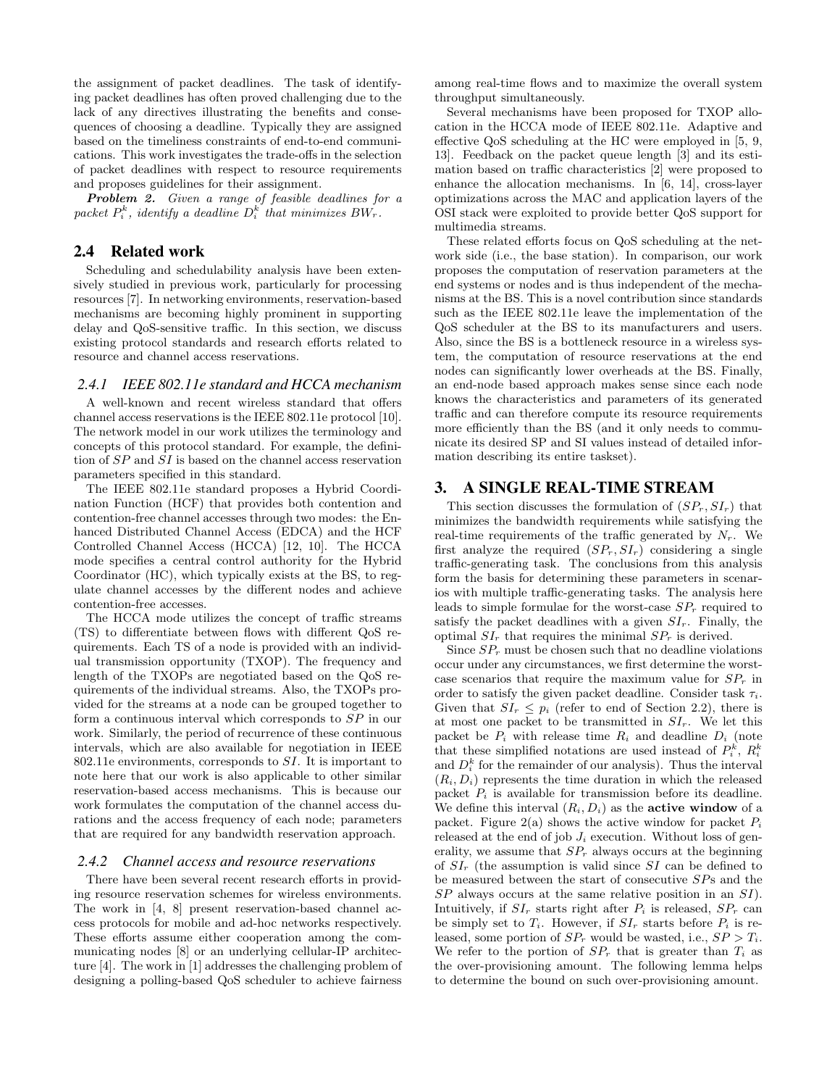the assignment of packet deadlines. The task of identifying packet deadlines has often proved challenging due to the lack of any directives illustrating the benefits and consequences of choosing a deadline. Typically they are assigned based on the timeliness constraints of end-to-end communications. This work investigates the trade-offs in the selection of packet deadlines with respect to resource requirements and proposes guidelines for their assignment.

Problem 2. Given a range of feasible deadlines for a packet  $P_i^k$ , identify a deadline  $D_i^k$  that minimizes  $BW_r$ .

## 2.4 Related work

Scheduling and schedulability analysis have been extensively studied in previous work, particularly for processing resources [7]. In networking environments, reservation-based mechanisms are becoming highly prominent in supporting delay and QoS-sensitive traffic. In this section, we discuss existing protocol standards and research efforts related to resource and channel access reservations.

#### *2.4.1 IEEE 802.11e standard and HCCA mechanism*

A well-known and recent wireless standard that offers channel access reservations is the IEEE 802.11e protocol [10]. The network model in our work utilizes the terminology and concepts of this protocol standard. For example, the definition of SP and SI is based on the channel access reservation parameters specified in this standard.

The IEEE 802.11e standard proposes a Hybrid Coordination Function (HCF) that provides both contention and contention-free channel accesses through two modes: the Enhanced Distributed Channel Access (EDCA) and the HCF Controlled Channel Access (HCCA) [12, 10]. The HCCA mode specifies a central control authority for the Hybrid Coordinator (HC), which typically exists at the BS, to regulate channel accesses by the different nodes and achieve contention-free accesses.

The HCCA mode utilizes the concept of traffic streams (TS) to differentiate between flows with different QoS requirements. Each TS of a node is provided with an individual transmission opportunity (TXOP). The frequency and length of the TXOPs are negotiated based on the QoS requirements of the individual streams. Also, the TXOPs provided for the streams at a node can be grouped together to form a continuous interval which corresponds to SP in our work. Similarly, the period of recurrence of these continuous intervals, which are also available for negotiation in IEEE 802.11e environments, corresponds to  $SI$ . It is important to note here that our work is also applicable to other similar reservation-based access mechanisms. This is because our work formulates the computation of the channel access durations and the access frequency of each node; parameters that are required for any bandwidth reservation approach.

#### *2.4.2 Channel access and resource reservations*

There have been several recent research efforts in providing resource reservation schemes for wireless environments. The work in [4, 8] present reservation-based channel access protocols for mobile and ad-hoc networks respectively. These efforts assume either cooperation among the communicating nodes [8] or an underlying cellular-IP architecture [4]. The work in [1] addresses the challenging problem of designing a polling-based QoS scheduler to achieve fairness

among real-time flows and to maximize the overall system throughput simultaneously.

Several mechanisms have been proposed for TXOP allocation in the HCCA mode of IEEE 802.11e. Adaptive and effective QoS scheduling at the HC were employed in [5, 9, 13]. Feedback on the packet queue length [3] and its estimation based on traffic characteristics [2] were proposed to enhance the allocation mechanisms. In [6, 14], cross-layer optimizations across the MAC and application layers of the OSI stack were exploited to provide better QoS support for multimedia streams.

These related efforts focus on QoS scheduling at the network side (i.e., the base station). In comparison, our work proposes the computation of reservation parameters at the end systems or nodes and is thus independent of the mechanisms at the BS. This is a novel contribution since standards such as the IEEE 802.11e leave the implementation of the QoS scheduler at the BS to its manufacturers and users. Also, since the BS is a bottleneck resource in a wireless system, the computation of resource reservations at the end nodes can significantly lower overheads at the BS. Finally, an end-node based approach makes sense since each node knows the characteristics and parameters of its generated traffic and can therefore compute its resource requirements more efficiently than the BS (and it only needs to communicate its desired SP and SI values instead of detailed information describing its entire taskset).

### 3. A SINGLE REAL-TIME STREAM

This section discusses the formulation of  $(SP_r, SI_r)$  that minimizes the bandwidth requirements while satisfying the real-time requirements of the traffic generated by  $N_r$ . We first analyze the required  $(SP_r, SI_r)$  considering a single traffic-generating task. The conclusions from this analysis form the basis for determining these parameters in scenarios with multiple traffic-generating tasks. The analysis here leads to simple formulae for the worst-case  $SP<sub>r</sub>$  required to satisfy the packet deadlines with a given  $SI_r$ . Finally, the optimal  $SI_r$  that requires the minimal  $SP_r$  is derived.

Since  $SP_r$  must be chosen such that no deadline violations occur under any circumstances, we first determine the worstcase scenarios that require the maximum value for  $SP<sub>r</sub>$  in order to satisfy the given packet deadline. Consider task  $\tau_i$ . Given that  $SI_r \leq p_i$  (refer to end of Section 2.2), there is at most one packet to be transmitted in  $SI_r$ . We let this packet be  $P_i$  with release time  $R_i$  and deadline  $D_i$  (note that these simplified notations are used instead of  $P_i^k$ ,  $R_i^k$ and  $D_i^k$  for the remainder of our analysis). Thus the interval  $(R_i, D_i)$  represents the time duration in which the released packet  $P_i$  is available for transmission before its deadline. We define this interval  $(R_i, D_i)$  as the **active window** of a packet. Figure 2(a) shows the active window for packet  $P_i$ released at the end of job  $J_i$  execution. Without loss of generality, we assume that  $SP<sub>r</sub>$  always occurs at the beginning of  $SI_r$  (the assumption is valid since SI can be defined to be measured between the start of consecutive SPs and the SP always occurs at the same relative position in an SI). Intuitively, if  $SI_r$  starts right after  $P_i$  is released,  $SP_r$  can be simply set to  $T_i$ . However, if  $SI_r$  starts before  $P_i$  is released, some portion of  $SP_r$  would be wasted, i.e.,  $SP > T_i$ . We refer to the portion of  $SP_r$  that is greater than  $T_i$  as the over-provisioning amount. The following lemma helps to determine the bound on such over-provisioning amount.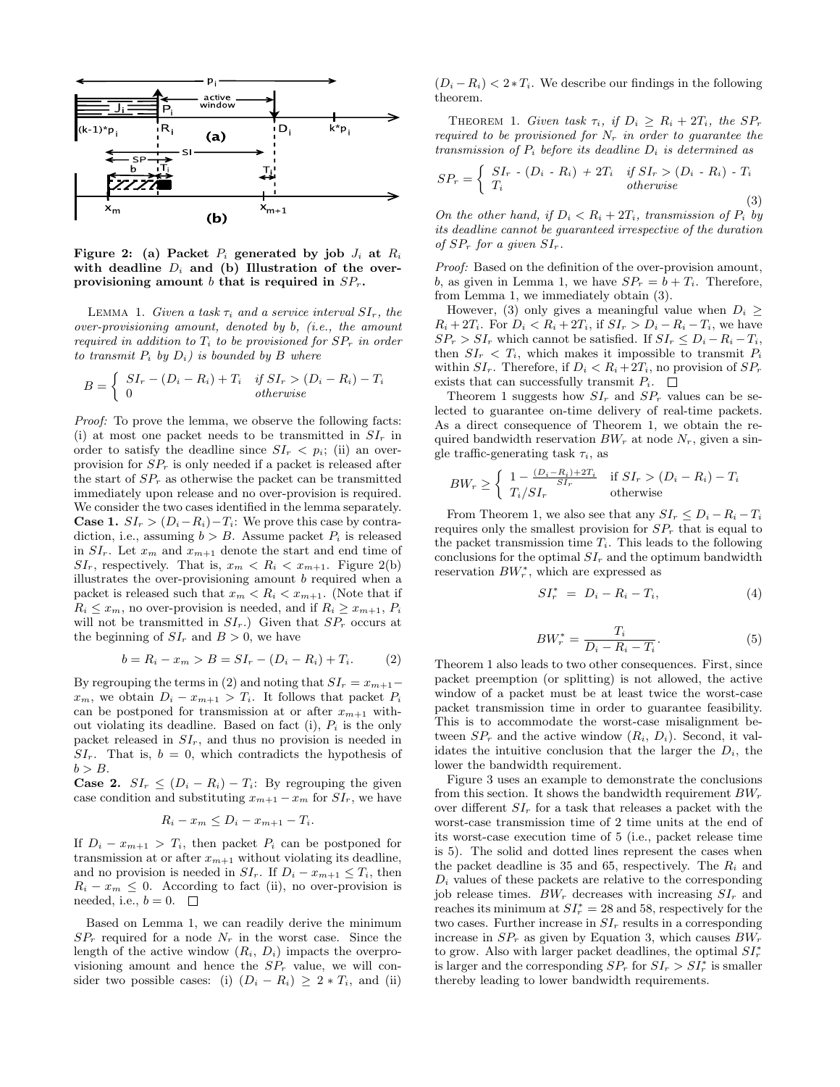

Figure 2: (a) Packet  $P_i$  generated by job  $J_i$  at  $R_i$ with deadline  $D_i$  and (b) Illustration of the overprovisioning amount b that is required in  $SP_r$ .

LEMMA 1. Given a task  $\tau_i$  and a service interval  $SI_r$ , the over-provisioning amount, denoted by b, (i.e., the amount required in addition to  $T_i$  to be provisioned for  $SP_r$  in order to transmit  $P_i$  by  $D_i$ ) is bounded by  $B$  where

$$
B = \begin{cases} SI_r - (D_i - R_i) + T_i & \text{if } SI_r > (D_i - R_i) - T_i \\ 0 & \text{otherwise} \end{cases}
$$

Proof: To prove the lemma, we observe the following facts: (i) at most one packet needs to be transmitted in  $SI<sub>r</sub>$  in order to satisfy the deadline since  $SI_r < p_i$ ; (ii) an overprovision for  $SP<sub>r</sub>$  is only needed if a packet is released after the start of  $SP<sub>r</sub>$  as otherwise the packet can be transmitted immediately upon release and no over-provision is required. We consider the two cases identified in the lemma separately. **Case 1.**  $SI_r > (D_i - R_i) - T_i$ : We prove this case by contradiction, i.e., assuming  $b > B$ . Assume packet  $P_i$  is released in  $SI_r$ . Let  $x_m$  and  $x_{m+1}$  denote the start and end time of  $SI_r$ , respectively. That is,  $x_m < R_i < x_{m+1}$ . Figure 2(b) illustrates the over-provisioning amount  $b$  required when a packet is released such that  $x_m < R_i < x_{m+1}$ . (Note that if  $R_i \leq x_m$ , no over-provision is needed, and if  $R_i \geq x_{m+1}$ ,  $P_i$ will not be transmitted in  $SI_r$ .) Given that  $SP_r$  occurs at the beginning of  $SI_r$  and  $B > 0$ , we have

$$
b = R_i - x_m > B = SI_r - (D_i - R_i) + T_i.
$$
 (2)

By regrouping the terms in (2) and noting that  $SI_r = x_{m+1}$  $x_m$ , we obtain  $D_i - x_{m+1} > T_i$ . It follows that packet  $P_i$ can be postponed for transmission at or after  $x_{m+1}$  without violating its deadline. Based on fact (i),  $P_i$  is the only packet released in  $SI_r$ , and thus no provision is needed in  $SI_r$ . That is,  $b = 0$ , which contradicts the hypothesis of  $b > B$ .

**Case 2.**  $SI_r \leq (D_i - R_i) - T_i$ : By regrouping the given case condition and substituting  $x_{m+1} - x_m$  for  $SI_r$ , we have

$$
R_i - x_m \le D_i - x_{m+1} - T_i.
$$

If  $D_i - x_{m+1} > T_i$ , then packet  $P_i$  can be postponed for transmission at or after  $x_{m+1}$  without violating its deadline, and no provision is needed in  $SI_r$ . If  $D_i - x_{m+1} \leq T_i$ , then  $R_i - x_m \leq 0$ . According to fact (ii), no over-provision is needed, i.e.,  $b = 0$ .  $\Box$ 

Based on Lemma 1, we can readily derive the minimum  $SP<sub>r</sub>$  required for a node  $N<sub>r</sub>$  in the worst case. Since the length of the active window  $(R_i, D_i)$  impacts the overprovisioning amount and hence the  $SP<sub>r</sub>$  value, we will consider two possible cases: (i)  $(D_i - R_i) \geq 2 * T_i$ , and (ii)

 $(D_i - R_i) < 2 \cdot T_i$ . We describe our findings in the following theorem.

THEOREM 1. Given task  $\tau_i$ , if  $D_i \geq R_i + 2T_i$ , the  $SP_r$ required to be provisioned for  $N_r$  in order to guarantee the transmission of  $P_i$  before its deadline  $D_i$  is determined as

$$
SP_r = \begin{cases} SI_r - (D_i - R_i) + 2T_i & \text{if } SI_r > (D_i - R_i) - T_i \\ T_i & \text{otherwise} \end{cases}
$$
(3)

On the other hand, if  $D_i < R_i + 2T_i$ , transmission of  $P_i$  by its deadline cannot be guaranteed irrespective of the duration of  $SP_r$  for a given  $SI_r$ .

Proof: Based on the definition of the over-provision amount, b, as given in Lemma 1, we have  $SP_r = b + T_i$ . Therefore, from Lemma 1, we immediately obtain (3).

However, (3) only gives a meaningful value when  $D_i \geq$  $R_i + 2T_i$ . For  $D_i < R_i + 2T_i$ , if  $SI_r > D_i - R_i - T_i$ , we have  $SP_r > SI_r$  which cannot be satisfied. If  $SI_r \leq D_i - R_i - T_i$ , then  $SI_r < T_i$ , which makes it impossible to transmit  $P_i$ within  $SI_r$ . Therefore, if  $D_i < R_i + 2T_i$ , no provision of  $SP_r$ exists that can successfully transmit  $P_i$ .  $\Box$ 

Theorem 1 suggests how  $SI_r$  and  $SP_r$  values can be selected to guarantee on-time delivery of real-time packets. As a direct consequence of Theorem 1, we obtain the required bandwidth reservation  $BW_r$  at node  $N_r$ , given a single traffic-generating task  $\tau_i$ , as

$$
BW_r \ge \begin{cases} 1 - \frac{(D_i - R_i) + 2T_i}{SI_r} & \text{if } SI_r > (D_i - R_i) - T_i \\ T_i / SI_r & \text{otherwise} \end{cases}
$$

From Theorem 1, we also see that any  $SI_r \leq D_i - R_i - T_i$ requires only the smallest provision for  $SP<sub>r</sub>$  that is equal to the packet transmission time  $T_i$ . This leads to the following conclusions for the optimal  $SI_r$  and the optimum bandwidth reservation  $BW_r^*$ , which are expressed as

$$
SI_r^* = D_i - R_i - T_i, \qquad (4)
$$

$$
BW_r^* = \frac{T_i}{D_i - R_i - T_i}.\tag{5}
$$

Theorem 1 also leads to two other consequences. First, since packet preemption (or splitting) is not allowed, the active window of a packet must be at least twice the worst-case packet transmission time in order to guarantee feasibility. This is to accommodate the worst-case misalignment between  $SP_r$  and the active window  $(R_i, D_i)$ . Second, it validates the intuitive conclusion that the larger the  $D_i$ , the lower the bandwidth requirement.

Figure 3 uses an example to demonstrate the conclusions from this section. It shows the bandwidth requirement  $BW_r$ over different  $SI_r$  for a task that releases a packet with the worst-case transmission time of 2 time units at the end of its worst-case execution time of 5 (i.e., packet release time is 5). The solid and dotted lines represent the cases when the packet deadline is 35 and 65, respectively. The  $R_i$  and  $D_i$  values of these packets are relative to the corresponding job release times.  $BW_r$  decreases with increasing  $SI_r$  and reaches its minimum at  $ST_r^* = 28$  and 58, respectively for the two cases. Further increase in  $SI_r$  results in a corresponding increase in  $SP<sub>r</sub>$  as given by Equation 3, which causes  $BW<sub>r</sub>$ to grow. Also with larger packet deadlines, the optimal  $SI_r^*$ is larger and the corresponding  $SP_r$  for  $SI_r > SI_r^*$  is smaller thereby leading to lower bandwidth requirements.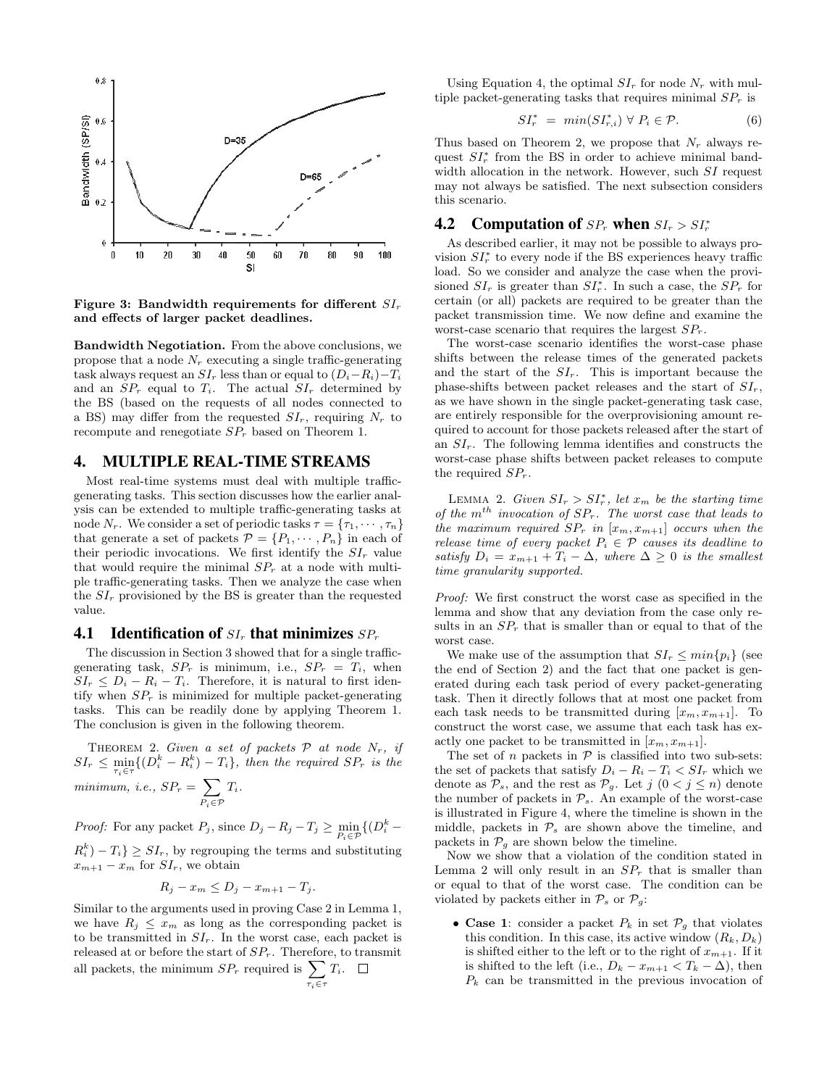

Figure 3: Bandwidth requirements for different  $SI_r$ and effects of larger packet deadlines.

Bandwidth Negotiation. From the above conclusions, we propose that a node  $N_r$  executing a single traffic-generating task always request an  $SI_r$  less than or equal to  $(D_i-R_i)-T_i$ and an  $SP_r$  equal to  $T_i$ . The actual  $SI_r$  determined by the BS (based on the requests of all nodes connected to a BS) may differ from the requested  $SI_r$ , requiring  $N_r$  to recompute and renegotiate  $SP<sub>r</sub>$  based on Theorem 1.

#### 4. MULTIPLE REAL-TIME STREAMS

Most real-time systems must deal with multiple trafficgenerating tasks. This section discusses how the earlier analysis can be extended to multiple traffic-generating tasks at node  $N_r$ . We consider a set of periodic tasks  $\tau = {\tau_1, \cdots, \tau_n}$ that generate a set of packets  $\mathcal{P} = \{P_1, \dots, P_n\}$  in each of their periodic invocations. We first identify the  $SI_r$  value that would require the minimal  $SP<sub>r</sub>$  at a node with multiple traffic-generating tasks. Then we analyze the case when the  $SI_r$  provisioned by the BS is greater than the requested value.

### **4.1 Identification of**  $SL_r$  **that minimizes**  $SP_r$

The discussion in Section 3 showed that for a single trafficgenerating task,  $SP_r$  is minimum, i.e.,  $SP_r = T_i$ , when  $SI_r \leq D_i - R_i - T_i$ . Therefore, it is natural to first identify when  $SP<sub>r</sub>$  is minimized for multiple packet-generating tasks. This can be readily done by applying Theorem 1. The conclusion is given in the following theorem.

THEOREM 2. Given a set of packets  $P$  at node  $N_r$ , if  $SI_r \leq \min_{\tau_i \in \tau} \{ (D_i^k - R_i^k) - T_i \},\$  then the required  $SP_r$  is the minimum, i.e.,  $SP_r = \sum$  $P_i \in \mathcal{P}$  $T_i$ .

*Proof:* For any packet  $P_j$ , since  $D_j - R_j - T_j \ge \min_{P_i \in \mathcal{P}} \{ (D_i^k - P_j) \}$  $R_i^k$  $- T_i$ }  $\geq SI_r$ , by regrouping the terms and substituting  $x_{m+1} - x_m$  for  $SI_r$ , we obtain

$$
R_j - x_m \le D_j - x_{m+1} - T_j.
$$

Similar to the arguments used in proving Case 2 in Lemma 1, we have  $R_j \leq x_m$  as long as the corresponding packet is to be transmitted in  $SI_r$ . In the worst case, each packet is released at or before the start of  $SP_r$ . Therefore, to transmit all packets, the minimum  $SP_r$  required is  $\sum$  $T_i$ .

 $\tau_i \in \tau$ 

Using Equation 4, the optimal  $SI_r$  for node  $N_r$  with multiple packet-generating tasks that requires minimal  $SP<sub>r</sub>$  is

$$
SI_r^* = \min(SI_{r,i}^*) \ \forall \ P_i \in \mathcal{P}.\tag{6}
$$

Thus based on Theorem 2, we propose that  $N_r$  always request  $SI_r^*$  from the BS in order to achieve minimal bandwidth allocation in the network. However, such  $SI$  request may not always be satisfied. The next subsection considers this scenario.

# **4.2** Computation of  $SP_r$  when  $SI_r > SI_r^*$

As described earlier, it may not be possible to always provision  $SI_r^*$  to every node if the BS experiences heavy traffic load. So we consider and analyze the case when the provisioned  $SI_r$  is greater than  $SI^*_r$ . In such a case, the  $SP_r$  for certain (or all) packets are required to be greater than the packet transmission time. We now define and examine the worst-case scenario that requires the largest  $SP<sub>r</sub>$ .

The worst-case scenario identifies the worst-case phase shifts between the release times of the generated packets and the start of the  $SI_r$ . This is important because the phase-shifts between packet releases and the start of  $SI_r$ , as we have shown in the single packet-generating task case, are entirely responsible for the overprovisioning amount required to account for those packets released after the start of an  $SI_r$ . The following lemma identifies and constructs the worst-case phase shifts between packet releases to compute the required  $SP_r$ .

LEMMA 2. Given  $SI_r > SI_r^*$ , let  $x_m$  be the starting time of the  $m^{th}$  invocation of  $SP_r$ . The worst case that leads to the maximum required  $SP_r$  in  $[x_m, x_{m+1}]$  occurs when the release time of every packet  $P_i \in \mathcal{P}$  causes its deadline to satisfy  $D_i = x_{m+1} + T_i - \Delta$ , where  $\Delta \geq 0$  is the smallest time granularity supported.

Proof: We first construct the worst case as specified in the lemma and show that any deviation from the case only results in an  $SP<sub>r</sub>$  that is smaller than or equal to that of the worst case.

We make use of the assumption that  $SI_r \leq min\{p_i\}$  (see the end of Section 2) and the fact that one packet is generated during each task period of every packet-generating task. Then it directly follows that at most one packet from each task needs to be transmitted during  $[x_m, x_{m+1}]$ . To construct the worst case, we assume that each task has exactly one packet to be transmitted in  $[x_m, x_{m+1}]$ .

The set of  $n$  packets in  $P$  is classified into two sub-sets: the set of packets that satisfy  $D_i - R_i - T_i < S I_r$  which we denote as  $\mathcal{P}_s$ , and the rest as  $\mathcal{P}_g$ . Let  $j$   $(0 < j \leq n)$  denote the number of packets in  $\mathcal{P}_s$ . An example of the worst-case is illustrated in Figure 4, where the timeline is shown in the middle, packets in  $\mathcal{P}_s$  are shown above the timeline, and packets in  $\mathcal{P}_g$  are shown below the timeline.

Now we show that a violation of the condition stated in Lemma 2 will only result in an  $SP<sub>r</sub>$  that is smaller than or equal to that of the worst case. The condition can be violated by packets either in  $\mathcal{P}_s$  or  $\mathcal{P}_g$ :

• Case 1: consider a packet  $P_k$  in set  $\mathcal{P}_q$  that violates this condition. In this case, its active window  $(R_k, D_k)$ is shifted either to the left or to the right of  $x_{m+1}$ . If it is shifted to the left (i.e.,  $D_k - x_{m+1} < T_k - \Delta$ ), then  $P_k$  can be transmitted in the previous invocation of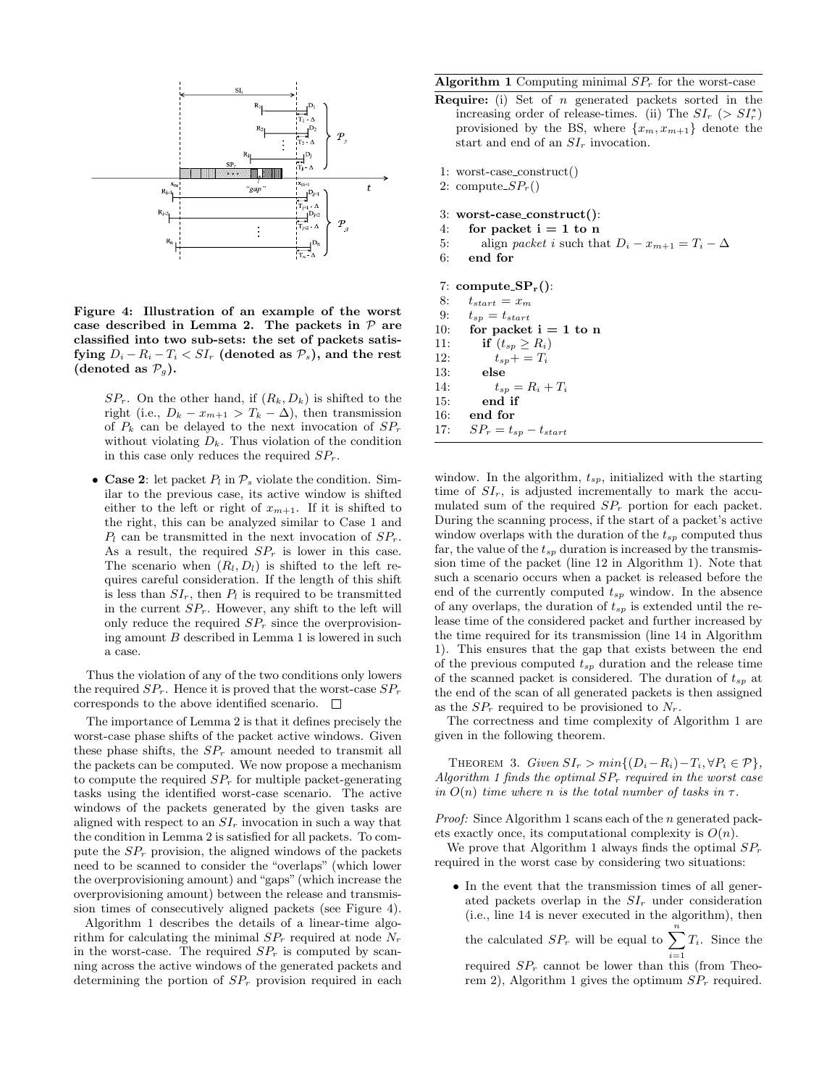

Figure 4: Illustration of an example of the worst case described in Lemma 2. The packets in  $P$  are classified into two sub-sets: the set of packets satisfying  $D_i - R_i - T_i < SI_r$  (denoted as  $P_s$ ), and the rest (denoted as  $\mathcal{P}_q$ ).

 $SP_r$ . On the other hand, if  $(R_k, D_k)$  is shifted to the right (i.e.,  $D_k - x_{m+1} > T_k - \Delta$ ), then transmission of  $P_k$  can be delayed to the next invocation of  $SP_r$ without violating  $D_k$ . Thus violation of the condition in this case only reduces the required  $SP<sub>r</sub>$ .

• Case 2: let packet  $P_l$  in  $\mathcal{P}_s$  violate the condition. Similar to the previous case, its active window is shifted either to the left or right of  $x_{m+1}$ . If it is shifted to the right, this can be analyzed similar to Case 1 and  $P_l$  can be transmitted in the next invocation of  $SP_r$ . As a result, the required  $SP<sub>r</sub>$  is lower in this case. The scenario when  $(R_l, D_l)$  is shifted to the left requires careful consideration. If the length of this shift is less than  $SI_r$ , then  $P_l$  is required to be transmitted in the current  $SP_r$ . However, any shift to the left will only reduce the required  $SP<sub>r</sub>$  since the overprovisioning amount B described in Lemma 1 is lowered in such a case.

Thus the violation of any of the two conditions only lowers the required  $SP_r$ . Hence it is proved that the worst-case  $SP_r$ corresponds to the above identified scenario.  $\Box$ 

The importance of Lemma 2 is that it defines precisely the worst-case phase shifts of the packet active windows. Given these phase shifts, the  $SP<sub>r</sub>$  amount needed to transmit all the packets can be computed. We now propose a mechanism to compute the required  $SP<sub>r</sub>$  for multiple packet-generating tasks using the identified worst-case scenario. The active windows of the packets generated by the given tasks are aligned with respect to an  $SI_r$  invocation in such a way that the condition in Lemma 2 is satisfied for all packets. To compute the  $SP<sub>r</sub>$  provision, the aligned windows of the packets need to be scanned to consider the "overlaps" (which lower the overprovisioning amount) and "gaps" (which increase the overprovisioning amount) between the release and transmission times of consecutively aligned packets (see Figure 4).

Algorithm 1 describes the details of a linear-time algorithm for calculating the minimal  $SP_r$  required at node  $N_r$ in the worst-case. The required  $SP<sub>r</sub>$  is computed by scanning across the active windows of the generated packets and determining the portion of  $SP<sub>r</sub>$  provision required in each

**Algorithm 1** Computing minimal  $SP<sub>r</sub>$  for the worst-case

- **Require:** (i) Set of  $n$  generated packets sorted in the increasing order of release-times. (ii) The  $SI_r$  (>  $SI^*_r$ ) provisioned by the BS, where  $\{x_m, x_{m+1}\}$  denote the start and end of an  $SI_r$  invocation.
- 1: worst-case construct()
- 2: compute  $SP<sub>r</sub>($ )
- 3: worst-case construct():
- 4: for packet  $i = 1$  to n
- 5: align *packet i* such that  $D_i x_{m+1} = T_i \Delta$
- 6: end for

7: compute  $SP_r()$ :

- 8:  $t_{start} = x_m$
- 9:  $t_{sp} = t_{start}$
- 10: for packet  $i = 1$  to n
- 11: if  $(t_{sp} \geq R_i)$
- 12:  $t_{sp} + = T_i$
- 13: else
- 14:  $t_{sp} = R_i + T_i$
- 15: end if
- 16: end for
- 17:  $SP_r = t_{sp} t_{start}$

window. In the algorithm,  $t_{sp}$ , initialized with the starting time of  $SI_r$ , is adjusted incrementally to mark the accumulated sum of the required  $SP<sub>r</sub>$  portion for each packet. During the scanning process, if the start of a packet's active window overlaps with the duration of the  $t_{sp}$  computed thus far, the value of the  $t_{sp}$  duration is increased by the transmission time of the packet (line 12 in Algorithm 1). Note that such a scenario occurs when a packet is released before the end of the currently computed  $t_{sp}$  window. In the absence of any overlaps, the duration of  $t_{sp}$  is extended until the release time of the considered packet and further increased by the time required for its transmission (line 14 in Algorithm 1). This ensures that the gap that exists between the end of the previous computed  $t_{sp}$  duration and the release time of the scanned packet is considered. The duration of  $t_{sp}$  at the end of the scan of all generated packets is then assigned as the  $SP<sub>r</sub>$  required to be provisioned to  $N<sub>r</sub>$ .

The correctness and time complexity of Algorithm 1 are given in the following theorem.

THEOREM 3. Given  $SI_r > min\{(D_i - R_i) - T_i, \forall P_i \in \mathcal{P}\}\,$ , Algorithm 1 finds the optimal  $SP_r$  required in the worst case in  $O(n)$  time where n is the total number of tasks in  $\tau$ .

Proof: Since Algorithm 1 scans each of the *n* generated packets exactly once, its computational complexity is  $O(n)$ .

We prove that Algorithm 1 always finds the optimal  $SP<sub>r</sub>$ required in the worst case by considering two situations:

• In the event that the transmission times of all generated packets overlap in the  $SI_r$  under consideration (i.e., line 14 is never executed in the algorithm), then

the calculated  $SP_r$  will be equal to  $\sum_{i=1}^{n} T_i$ . Since the required  $SP_r$  cannot be lower than this (from Theorem 2), Algorithm 1 gives the optimum  $SP<sub>r</sub>$  required.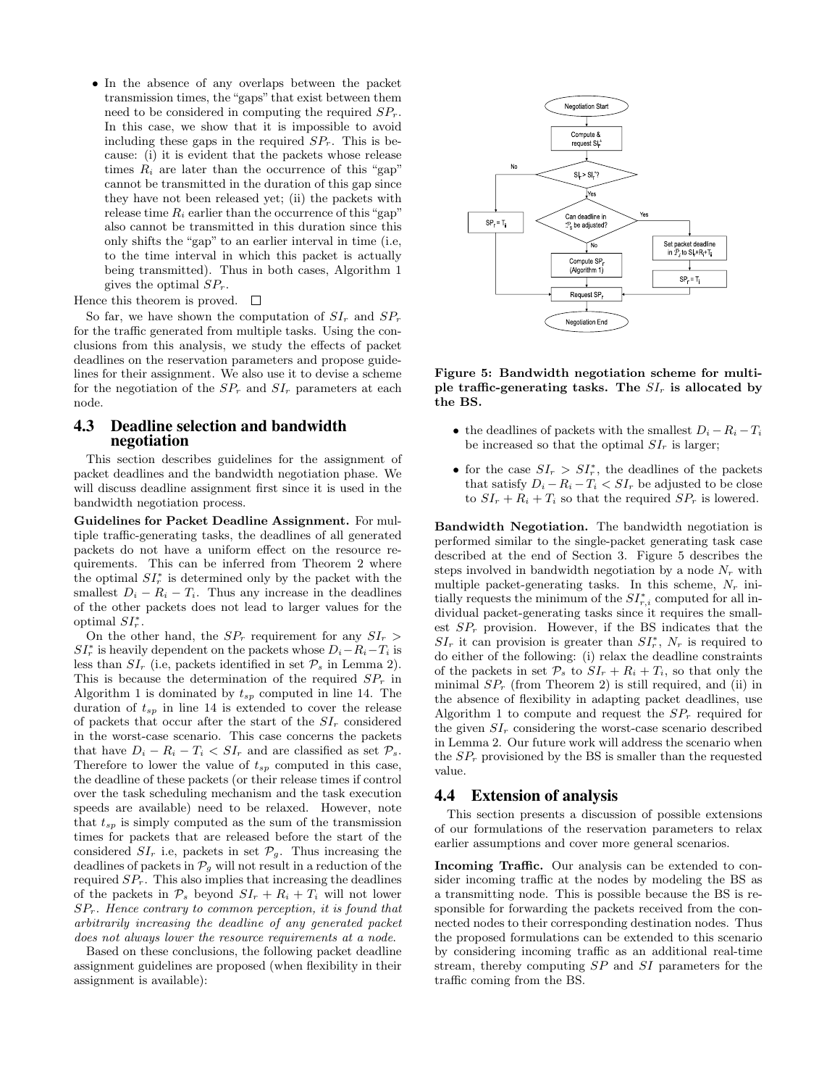• In the absence of any overlaps between the packet transmission times, the "gaps" that exist between them need to be considered in computing the required  $SP<sub>r</sub>$ . In this case, we show that it is impossible to avoid including these gaps in the required  $SP<sub>r</sub>$ . This is because: (i) it is evident that the packets whose release times  $R_i$  are later than the occurrence of this "gap" cannot be transmitted in the duration of this gap since they have not been released yet; (ii) the packets with release time  $R_i$  earlier than the occurrence of this "gap" also cannot be transmitted in this duration since this only shifts the "gap" to an earlier interval in time (i.e, to the time interval in which this packet is actually being transmitted). Thus in both cases, Algorithm 1 gives the optimal  $SP<sub>r</sub>$ .

Hence this theorem is proved.  $\Box$ 

So far, we have shown the computation of  $SI_r$  and  $SP_r$ for the traffic generated from multiple tasks. Using the conclusions from this analysis, we study the effects of packet deadlines on the reservation parameters and propose guidelines for their assignment. We also use it to devise a scheme for the negotiation of the  $SP_r$  and  $SI_r$  parameters at each node.

## 4.3 Deadline selection and bandwidth negotiation

This section describes guidelines for the assignment of packet deadlines and the bandwidth negotiation phase. We will discuss deadline assignment first since it is used in the bandwidth negotiation process.

Guidelines for Packet Deadline Assignment. For multiple traffic-generating tasks, the deadlines of all generated packets do not have a uniform effect on the resource requirements. This can be inferred from Theorem 2 where the optimal  $SI_r^*$  is determined only by the packet with the smallest  $D_i - R_i - T_i$ . Thus any increase in the deadlines of the other packets does not lead to larger values for the optimal  $SI_r^*$ .

On the other hand, the  $SP_r$  requirement for any  $SI_r >$  $SI_r^*$  is heavily dependent on the packets whose  $D_i - R_i - T_i$  is less than  $SI_r$  (i.e, packets identified in set  $\mathcal{P}_s$  in Lemma 2). This is because the determination of the required  $SP<sub>r</sub>$  in Algorithm 1 is dominated by  $t_{sp}$  computed in line 14. The duration of  $t_{sp}$  in line 14 is extended to cover the release of packets that occur after the start of the  $SI_r$  considered in the worst-case scenario. This case concerns the packets that have  $D_i - R_i - T_i < S I_r$  and are classified as set  $\mathcal{P}_s$ . Therefore to lower the value of  $t_{sp}$  computed in this case, the deadline of these packets (or their release times if control over the task scheduling mechanism and the task execution speeds are available) need to be relaxed. However, note that  $t_{sp}$  is simply computed as the sum of the transmission times for packets that are released before the start of the considered  $SI_r$  i.e, packets in set  $\mathcal{P}_g$ . Thus increasing the deadlines of packets in  $\mathcal{P}_g$  will not result in a reduction of the required  $SP<sub>r</sub>$ . This also implies that increasing the deadlines of the packets in  $P_s$  beyond  $SI_r + R_i + T_i$  will not lower  $SP<sub>r</sub>$ . Hence contrary to common perception, it is found that arbitrarily increasing the deadline of any generated packet does not always lower the resource requirements at a node.

Based on these conclusions, the following packet deadline assignment guidelines are proposed (when flexibility in their assignment is available):



Figure 5: Bandwidth negotiation scheme for multiple traffic-generating tasks. The  $SI_r$  is allocated by the BS.

- the deadlines of packets with the smallest  $D_i R_i T_i$ be increased so that the optimal  $SI_r$  is larger;
- for the case  $SI_r > SI_r^*$ , the deadlines of the packets that satisfy  $D_i - R_i - T_i < S I_r$  be adjusted to be close to  $SI_r + R_i + T_i$  so that the required  $SP_r$  is lowered.

Bandwidth Negotiation. The bandwidth negotiation is performed similar to the single-packet generating task case described at the end of Section 3. Figure 5 describes the steps involved in bandwidth negotiation by a node  $N_r$  with multiple packet-generating tasks. In this scheme,  $N_r$  initially requests the minimum of the  $SI^*_{r,i}$  computed for all individual packet-generating tasks since it requires the smallest  $SP_r$  provision. However, if the BS indicates that the  $SI_r$  it can provision is greater than  $SI^*_r$ ,  $N_r$  is required to do either of the following: (i) relax the deadline constraints of the packets in set  $P_s$  to  $SI_r + R_i + T_i$ , so that only the minimal  $SP<sub>r</sub>$  (from Theorem 2) is still required, and (ii) in the absence of flexibility in adapting packet deadlines, use Algorithm 1 to compute and request the  $SP<sub>r</sub>$  required for the given  $SI_r$  considering the worst-case scenario described in Lemma 2. Our future work will address the scenario when the  $SP<sub>r</sub>$  provisioned by the BS is smaller than the requested value.

#### 4.4 Extension of analysis

This section presents a discussion of possible extensions of our formulations of the reservation parameters to relax earlier assumptions and cover more general scenarios.

Incoming Traffic. Our analysis can be extended to consider incoming traffic at the nodes by modeling the BS as a transmitting node. This is possible because the BS is responsible for forwarding the packets received from the connected nodes to their corresponding destination nodes. Thus the proposed formulations can be extended to this scenario by considering incoming traffic as an additional real-time stream, thereby computing SP and SI parameters for the traffic coming from the BS.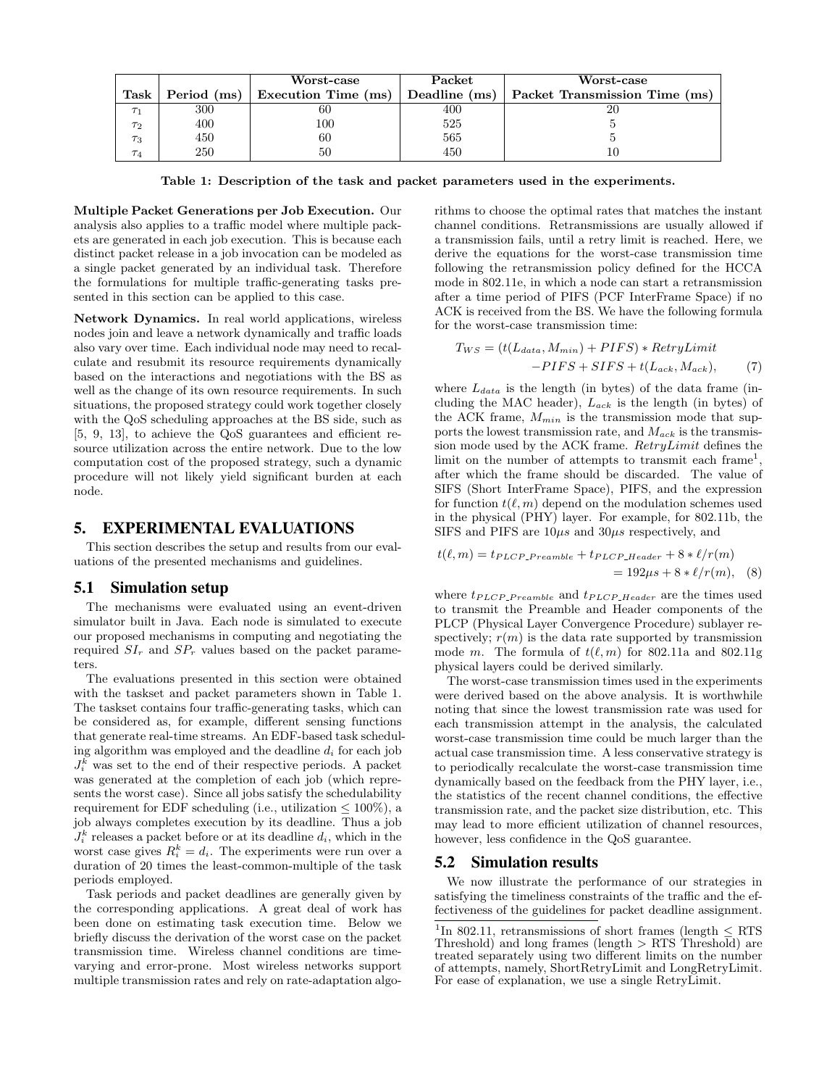|                |             | Worst-case                 | Packet        | Worst-case                    |
|----------------|-------------|----------------------------|---------------|-------------------------------|
| Task           | Period (ms) | <b>Execution Time (ms)</b> | Deadline (ms) | Packet Transmission Time (ms) |
|                | 300         | 60                         | 400           |                               |
| $\tau_2$       | 400         | 100                        | 525           |                               |
| $\tau_3$       | 450         | 60                         | 565           |                               |
| T <sub>4</sub> | 250         | 50                         | 450           |                               |

Table 1: Description of the task and packet parameters used in the experiments.

Multiple Packet Generations per Job Execution. Our analysis also applies to a traffic model where multiple packets are generated in each job execution. This is because each distinct packet release in a job invocation can be modeled as a single packet generated by an individual task. Therefore the formulations for multiple traffic-generating tasks presented in this section can be applied to this case.

Network Dynamics. In real world applications, wireless nodes join and leave a network dynamically and traffic loads also vary over time. Each individual node may need to recalculate and resubmit its resource requirements dynamically based on the interactions and negotiations with the BS as well as the change of its own resource requirements. In such situations, the proposed strategy could work together closely with the QoS scheduling approaches at the BS side, such as [5, 9, 13], to achieve the QoS guarantees and efficient resource utilization across the entire network. Due to the low computation cost of the proposed strategy, such a dynamic procedure will not likely yield significant burden at each node.

#### 5. EXPERIMENTAL EVALUATIONS

This section describes the setup and results from our evaluations of the presented mechanisms and guidelines.

#### 5.1 Simulation setup

The mechanisms were evaluated using an event-driven simulator built in Java. Each node is simulated to execute our proposed mechanisms in computing and negotiating the required  $SI_r$  and  $SP_r$  values based on the packet parameters.

The evaluations presented in this section were obtained with the taskset and packet parameters shown in Table 1. The taskset contains four traffic-generating tasks, which can be considered as, for example, different sensing functions that generate real-time streams. An EDF-based task scheduling algorithm was employed and the deadline  $d_i$  for each job  $J_i^k$  was set to the end of their respective periods. A packet was generated at the completion of each job (which represents the worst case). Since all jobs satisfy the schedulability requirement for EDF scheduling (i.e., utilization  $\leq 100\%$ ), a job always completes execution by its deadline. Thus a job  $J_i^k$  releases a packet before or at its deadline  $d_i$ , which in the worst case gives  $R_i^k = d_i$ . The experiments were run over a duration of 20 times the least-common-multiple of the task periods employed.

Task periods and packet deadlines are generally given by the corresponding applications. A great deal of work has been done on estimating task execution time. Below we briefly discuss the derivation of the worst case on the packet transmission time. Wireless channel conditions are timevarying and error-prone. Most wireless networks support multiple transmission rates and rely on rate-adaptation algorithms to choose the optimal rates that matches the instant channel conditions. Retransmissions are usually allowed if a transmission fails, until a retry limit is reached. Here, we derive the equations for the worst-case transmission time following the retransmission policy defined for the HCCA mode in 802.11e, in which a node can start a retransmission after a time period of PIFS (PCF InterFrame Space) if no ACK is received from the BS. We have the following formula for the worst-case transmission time:

$$
T_{WS} = (t(L_{data}, M_{min}) + PIFS) * RetryLimit
$$

$$
-PIFS + SIFS + t(L_{ack}, M_{ack}),
$$
(7)

where  $L_{data}$  is the length (in bytes) of the data frame (including the MAC header),  $L_{ack}$  is the length (in bytes) of the ACK frame,  $M_{min}$  is the transmission mode that supports the lowest transmission rate, and  $M_{ack}$  is the transmission mode used by the ACK frame. RetryLimit defines the limit on the number of attempts to transmit each frame<sup>1</sup> , after which the frame should be discarded. The value of SIFS (Short InterFrame Space), PIFS, and the expression for function  $t(\ell, m)$  depend on the modulation schemes used in the physical (PHY) layer. For example, for 802.11b, the SIFS and PIFS are  $10\mu s$  and  $30\mu s$  respectively, and

$$
t(\ell, m) = t_{PLCP\_Preamble} + t_{PLCP\_Header} + 8 * \ell/r(m)
$$
  
= 192\mu s + 8 \* \ell/r(m), (8)

where  $t_{PLCP\_P}$  and  $t_{PLCP\_Header}$  are the times used to transmit the Preamble and Header components of the PLCP (Physical Layer Convergence Procedure) sublayer respectively;  $r(m)$  is the data rate supported by transmission mode m. The formula of  $t(\ell, m)$  for 802.11a and 802.11g physical layers could be derived similarly.

The worst-case transmission times used in the experiments were derived based on the above analysis. It is worthwhile noting that since the lowest transmission rate was used for each transmission attempt in the analysis, the calculated worst-case transmission time could be much larger than the actual case transmission time. A less conservative strategy is to periodically recalculate the worst-case transmission time dynamically based on the feedback from the PHY layer, i.e., the statistics of the recent channel conditions, the effective transmission rate, and the packet size distribution, etc. This may lead to more efficient utilization of channel resources, however, less confidence in the QoS guarantee.

#### 5.2 Simulation results

We now illustrate the performance of our strategies in satisfying the timeliness constraints of the traffic and the effectiveness of the guidelines for packet deadline assignment.

<sup>&</sup>lt;sup>1</sup>In 802.11, retransmissions of short frames (length  $\leq$  RTS Threshold) and long frames (length > RTS Threshold) are treated separately using two different limits on the number of attempts, namely, ShortRetryLimit and LongRetryLimit. For ease of explanation, we use a single RetryLimit.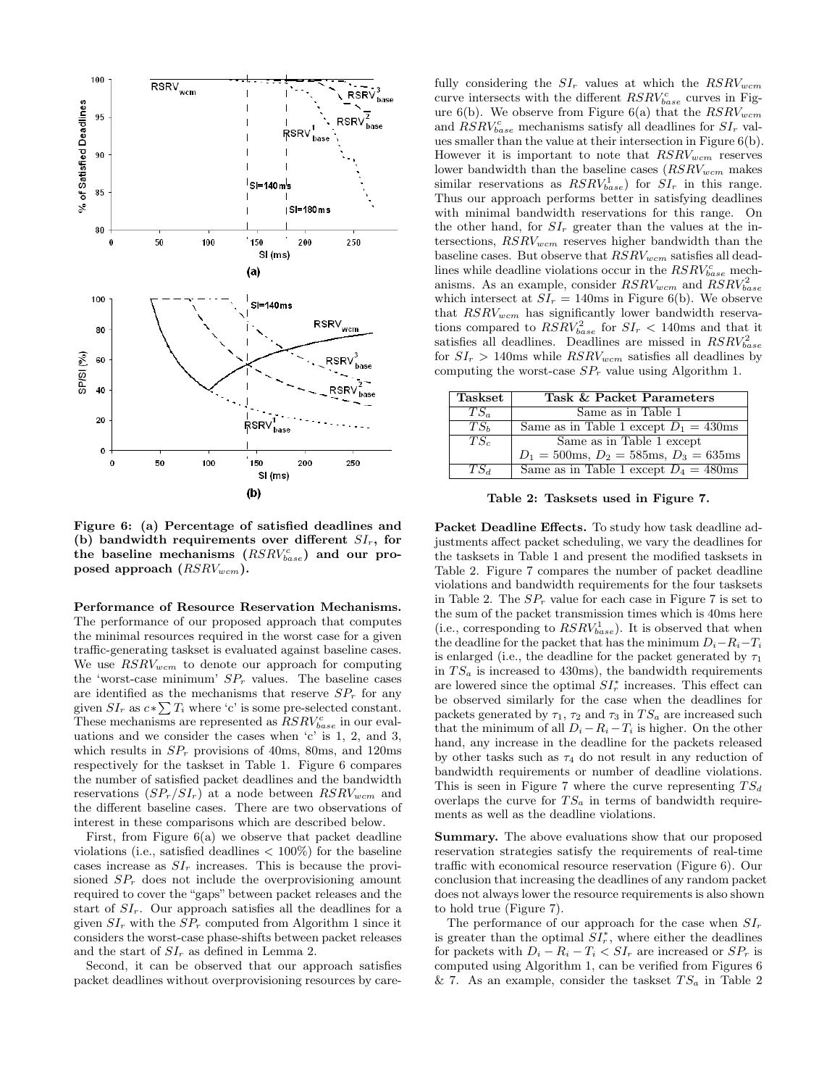

Figure 6: (a) Percentage of satisfied deadlines and (b) bandwidth requirements over different  $SI_r$ , for the baseline mechanisms  $(RSRV_{base}^c)$  and our proposed approach  $(RSRV_{wcm})$ .

Performance of Resource Reservation Mechanisms. The performance of our proposed approach that computes the minimal resources required in the worst case for a given traffic-generating taskset is evaluated against baseline cases. We use  $RSRV_{wcm}$  to denote our approach for computing the 'worst-case minimum'  $SP<sub>r</sub>$  values. The baseline cases are identified as the mechanisms that reserve  $SP<sub>r</sub>$  for any given  $SI_r$  as  $c*\sum T_i$  where 'c' is some pre-selected constant. These mechanisms are represented as  $RSRV_{base}^c$  in our evaluations and we consider the cases when 'c' is 1, 2, and 3, which results in  $SP<sub>r</sub>$  provisions of 40ms, 80ms, and 120ms respectively for the taskset in Table 1. Figure 6 compares the number of satisfied packet deadlines and the bandwidth reservations  $(SP_r/SI_r)$  at a node between  $RSRV_{wcm}$  and the different baseline cases. There are two observations of interest in these comparisons which are described below.

First, from Figure 6(a) we observe that packet deadline violations (i.e., satisfied deadlines  $< 100\%$ ) for the baseline cases increase as  $SI_r$  increases. This is because the provisioned  $SP<sub>r</sub>$  does not include the overprovisioning amount required to cover the "gaps" between packet releases and the start of  $SI_r$ . Our approach satisfies all the deadlines for a given  $SI_r$  with the  $SP_r$  computed from Algorithm 1 since it considers the worst-case phase-shifts between packet releases and the start of  $SI_r$  as defined in Lemma 2.

Second, it can be observed that our approach satisfies packet deadlines without overprovisioning resources by carefully considering the  $SI_r$  values at which the  $RSRV_{wcm}$ curve intersects with the different  $RSRV_{base}^c$  curves in Figure 6(b). We observe from Figure 6(a) that the  $RSRV_{wcm}$ and  $RSRV_{base}^c$  mechanisms satisfy all deadlines for  $SI_r$  values smaller than the value at their intersection in Figure 6(b). However it is important to note that  $RSRV_{wcm}$  reserves lower bandwidth than the baseline cases  $(RSRV_{wcm}$  makes similar reservations as  $RSRV_{base}^1$ ) for  $SI_r$  in this range. Thus our approach performs better in satisfying deadlines with minimal bandwidth reservations for this range. On the other hand, for  $SI_r$  greater than the values at the intersections,  $RSRV_{wcm}$  reserves higher bandwidth than the baseline cases. But observe that  $RSRV_{wcm}$  satisfies all deadlines while deadline violations occur in the  $RSRV_{base}^c$  mechanisms. As an example, consider  $RSRV_{wcm}$  and  $\overline{RSRV}_{base}^2$ which intersect at  $SI_r = 140$ ms in Figure 6(b). We observe that  $RSRV_{wcm}$  has significantly lower bandwidth reservations compared to  $RSRV_{base}^2$  for  $SI_r < 140$ ms and that it satisfies all deadlines. Deadlines are missed in  $RSRV_{base}^2$ for  $SI_r > 140$ ms while  $RSRV_{wcm}$  satisfies all deadlines by computing the worst-case  $SP<sub>r</sub>$  value using Algorithm 1.

| <b>Taskset</b>  | Task & Packet Parameters                       |  |
|-----------------|------------------------------------------------|--|
| $TS_{\alpha}$   | Same as in Table 1                             |  |
| TS <sub>b</sub> | Same as in Table 1 except $D_1 = 430$ ms       |  |
| $TS_c$          | Same as in Table 1 except                      |  |
|                 | $D_1 = 500$ ms, $D_2 = 585$ ms, $D_3 = 635$ ms |  |
| $TS_A$          | Same as in Table 1 except $D_4 = 480$ ms       |  |

Table 2: Tasksets used in Figure 7.

Packet Deadline Effects. To study how task deadline adjustments affect packet scheduling, we vary the deadlines for the tasksets in Table 1 and present the modified tasksets in Table 2. Figure 7 compares the number of packet deadline violations and bandwidth requirements for the four tasksets in Table 2. The  $SP<sub>r</sub>$  value for each case in Figure 7 is set to the sum of the packet transmission times which is 40ms here (i.e., corresponding to  $RSRV_{base}^1$ ). It is observed that when the deadline for the packet that has the minimum  $D_i-R_i-T_i$ is enlarged (i.e., the deadline for the packet generated by  $\tau_1$ in  $TS_a$  is increased to 430ms), the bandwidth requirements are lowered since the optimal  $SI_r^*$  increases. This effect can be observed similarly for the case when the deadlines for packets generated by  $\tau_1$ ,  $\tau_2$  and  $\tau_3$  in  $TS_a$  are increased such that the minimum of all  $D_i - R_i - T_i$  is higher. On the other hand, any increase in the deadline for the packets released by other tasks such as  $\tau_4$  do not result in any reduction of bandwidth requirements or number of deadline violations. This is seen in Figure 7 where the curve representing  $TS_d$ overlaps the curve for  $TS_a$  in terms of bandwidth requirements as well as the deadline violations.

Summary. The above evaluations show that our proposed reservation strategies satisfy the requirements of real-time traffic with economical resource reservation (Figure 6). Our conclusion that increasing the deadlines of any random packet does not always lower the resource requirements is also shown to hold true (Figure 7).

The performance of our approach for the case when  $SI_r$ is greater than the optimal  $SI_r^*$ , where either the deadlines for packets with  $D_i - R_i - T_i < S I_r$  are increased or  $S P_r$  is computed using Algorithm 1, can be verified from Figures 6 & 7. As an example, consider the taskset  $TS_a$  in Table 2